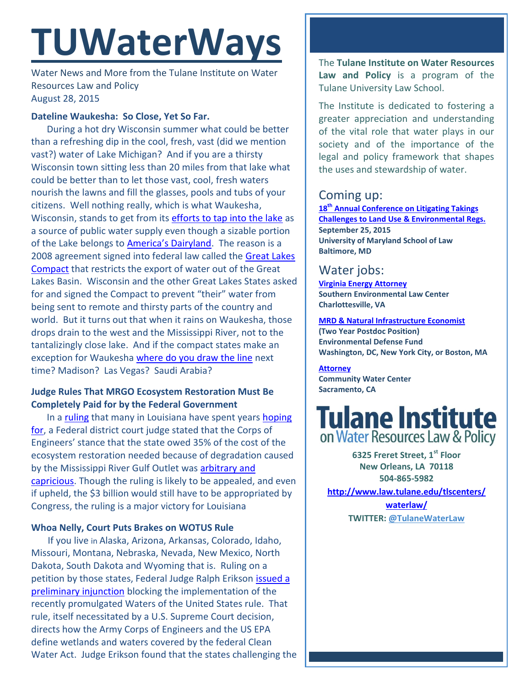# **TUWaterWays**

Water News and More from the Tulane Institute on Water Resources Law and Policy August 28, 2015

### **Dateline Waukesha: So Close, Yet So Far.**

During a hot dry Wisconsin summer what could be better than a refreshing dip in the cool, fresh, vast (did we mention vast?) water of Lake Michigan? And if you are a thirsty Wisconsin town sitting less than 20 miles from that lake what could be better than to let those vast, cool, fresh waters nourish the lawns and fill the glasses, pools and tubs of your citizens. Well nothing really, which is what Waukesha, Wisconsin, stands to get from its [efforts to tap into the lake](http://www.nytimes.com/2015/08/26/us/waukesha-plan-for-lake-michigan-water-raises-worries.html?emc=eta1&_r=0) as a source of public water supply even though a sizable portion of the Lake belongs to [America's Dairyland](http://www.agriview.com/news/dairy/america-s-dairyland-more-than-numbers/article_29da41ad-29df-51c0-8177-325ab4b15b8d.html). The reason is a 2008 agreement signed into federal law called the Great Lakes [Compact](http://www.greatlakes.org/compact) that restricts the export of water out of the Great Lakes Basin. Wisconsin and the other Great Lakes States asked for and signed the Compact to prevent "their" water from being sent to remote and thirsty parts of the country and world. But it turns out that when it rains on Waukesha, those drops drain to the west and the Mississippi River, not to the tantalizingly close lake. And if the compact states make an exception for Waukesha [where do you draw the line](http://www.buffalonews.com/opinion/another-voice/another-voice-water-diversion-is-a-threat-to-entire-great-lakes-region-20150828) next time? Madison? Las Vegas? Saudi Arabia?

## **Judge Rules That MRGO Ecosystem Restoration Must Be Completely Paid for by the Federal Government**

In a [ruling](https://www.ag.state.la.us/Shared/ViewDoc.aspx?Type=3&Doc=496) that many in Louisiana have spent years [hoping](http://www.nola.com/politics/index.ssf/2015/08/corps_mr-go_restoration.html#incart_river)  [for,](http://www.nola.com/politics/index.ssf/2015/08/corps_mr-go_restoration.html#incart_river) a Federal district court judge stated that the Corps of Engineers' stance that the state owed 35% of the cost of the ecosystem restoration needed because of degradation caused by the Mississippi River Gulf Outlet was [arbitrary and](http://www.nola.com/environment/index.ssf/2015/08/federal_judge_to_corps_restore.html#incart_river)  [capricious.](http://www.nola.com/environment/index.ssf/2015/08/federal_judge_to_corps_restore.html#incart_river) Though the ruling is likely to be appealed, and even if upheld, the \$3 billion would still have to be appropriated by Congress, the ruling is a major victory for Louisiana

## **Whoa Nelly, Court Puts Brakes on WOTUS Rule**

 If you live in Alaska, Arizona, Arkansas, Colorado, Idaho, Missouri, Montana, Nebraska, Nevada, New Mexico, North Dakota, South Dakota and Wyoming that is. Ruling on a petition by those states, Federal Judge Ralph Erikson [issued a](http://www.scribd.com/doc/276560509/Federal-judge-blocks-Obama-s-water-rule)  [preliminary injunction](http://www.scribd.com/doc/276560509/Federal-judge-blocks-Obama-s-water-rule) blocking the implementation of the recently promulgated Waters of the United States rule. That rule, itself necessitated by a U.S. Supreme Court decision, directs how the Army Corps of Engineers and the US EPA define wetlands and waters covered by the federal Clean Water Act. Judge Erikson found that the states challenging the

The **Tulane Institute on Water Resources Law and Policy** is a program of the Tulane University Law School.

The Institute is dedicated to fostering a greater appreciation and understanding of the vital role that water plays in our society and of the importance of the legal and policy framework that shapes the uses and stewardship of water.

# Coming up:

**18th [Annual Conference on Litigating Takings](http://forms.vermontlaw.edu/elc/landuse/Takings15/)  [Challenges to Land Use & Environmental Regs.](http://forms.vermontlaw.edu/elc/landuse/Takings15/) September 25, 2015 University of Maryland School of Law Baltimore, MD**

# Water jobs:

**[Virginia Energy Attorney](http://vcnva.org/index.php/resources/job-opportunities?limitstart=0) Southern Environmental Law Center Charlottesville, VA**

**[MRD & Natural Infrastructure Economist](https://www.edf.org/jobs/mississippi-river-delta-and-natural-infrastructure-economist-2-year-post-doctoral-position) (Two Year Postdoc Position) Environmental Defense Fund Washington, DC, New York City, or Boston, MA**

**[Attorney](http://www.communitywatercenter.org/career_opportunities) Community Water Center Sacramento, CA**



**6325 Freret Street, 1st Floor New Orleans, LA 70118 504-865-5982** 

**[http://www.law.tulane.edu/tlscenters/](http://www.law.tulane.edu/tlscenters/waterlaw/)**

**[waterlaw/](http://www.law.tulane.edu/tlscenters/waterlaw/) TWITTER: [@TulaneWaterLaw](http://www.twitter.com/TulaneWaterLaw)**